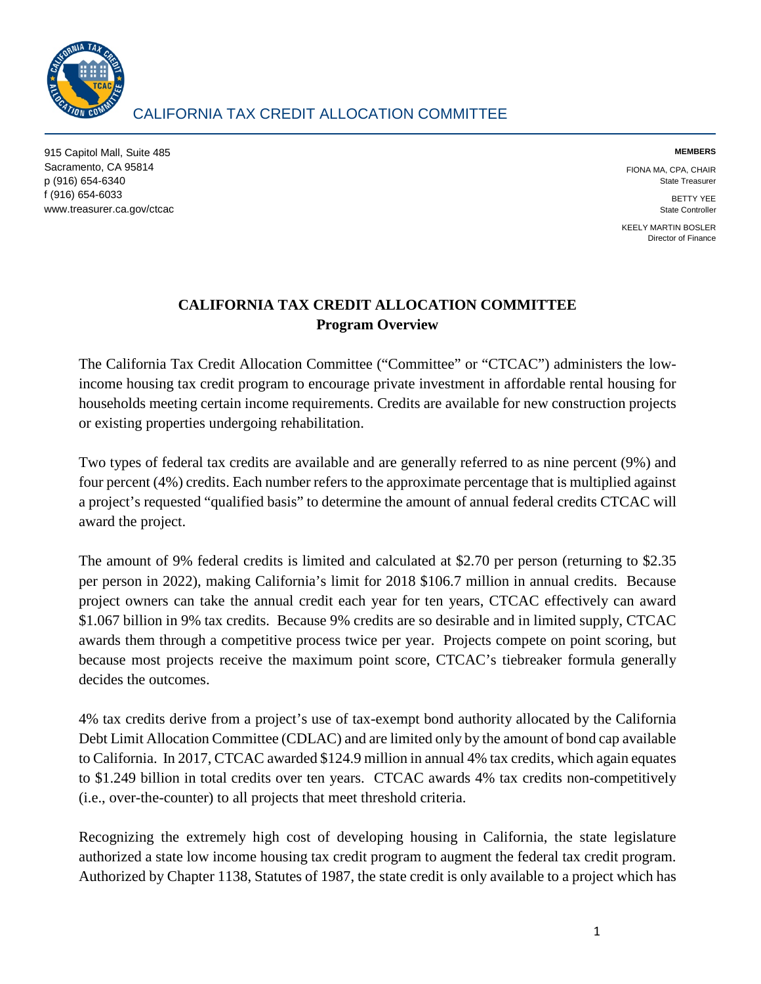

915 Capitol Mall, Suite 485 Sacramento, CA 95814 p (916) 654-6340 f (916) 654-6033 www.treasurer.ca.gov/ctcac **MEMBERS** 

FIONA MA, CPA, CHAIR State Treasurer

> BETTY YEE State Controller

KEELY MARTIN BOSLER Director of Finance

# **CALIFORNIA TAX CREDIT ALLOCATION COMMITTEE Program Overview**

The California Tax Credit Allocation Committee ("Committee" or "CTCAC") administers the lowincome housing tax credit program to encourage private investment in affordable rental housing for households meeting certain income requirements. Credits are available for new construction projects or existing properties undergoing rehabilitation.

Two types of federal tax credits are available and are generally referred to as nine percent (9%) and four percent (4%) credits. Each number refers to the approximate percentage that is multiplied against a project's requested "qualified basis" to determine the amount of annual federal credits CTCAC will award the project.

The amount of 9% federal credits is limited and calculated at \$2.70 per person (returning to \$2.35 per person in 2022), making California's limit for 2018 \$106.7 million in annual credits. Because project owners can take the annual credit each year for ten years, CTCAC effectively can award \$1.067 billion in 9% tax credits. Because 9% credits are so desirable and in limited supply, CTCAC awards them through a competitive process twice per year. Projects compete on point scoring, but because most projects receive the maximum point score, CTCAC's tiebreaker formula generally decides the outcomes.

4% tax credits derive from a project's use of tax-exempt bond authority allocated by the California Debt Limit Allocation Committee (CDLAC) and are limited only by the amount of bond cap available to California. In 2017, CTCAC awarded \$124.9 million in annual 4% tax credits, which again equates to \$1.249 billion in total credits over ten years. CTCAC awards 4% tax credits non-competitively (i.e., over-the-counter) to all projects that meet threshold criteria.

Recognizing the extremely high cost of developing housing in California, the state legislature authorized a state low income housing tax credit program to augment the federal tax credit program. Authorized by Chapter 1138, Statutes of 1987, the state credit is only available to a project which has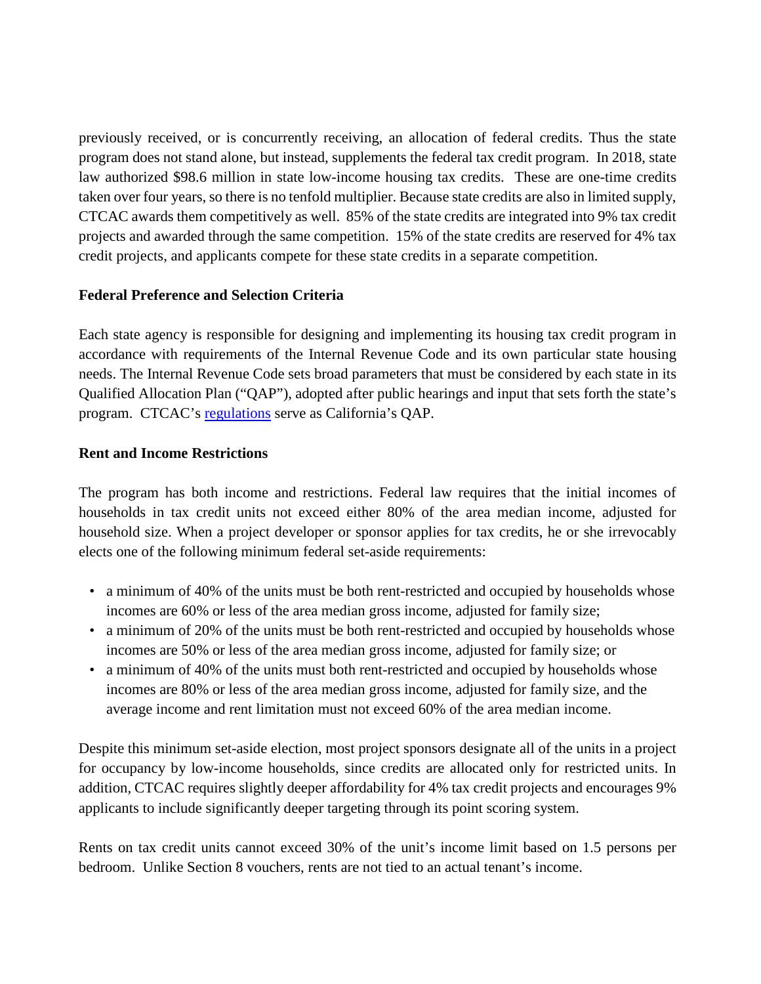previously received, or is concurrently receiving, an allocation of federal credits. Thus the state program does not stand alone, but instead, supplements the federal tax credit program. In 2018, state law authorized \$98.6 million in state low-income housing tax credits. These are one-time credits taken over four years, so there is no tenfold multiplier. Because state credits are also in limited supply, CTCAC awards them competitively as well. 85% of the state credits are integrated into 9% tax credit projects and awarded through the same competition. 15% of the state credits are reserved for 4% tax credit projects, and applicants compete for these state credits in a separate competition.

## **Federal Preference and Selection Criteria**

Each state agency is responsible for designing and implementing its housing tax credit program in accordance with requirements of the Internal Revenue Code and its own particular state housing needs. The Internal Revenue Code sets broad parameters that must be considered by each state in its Qualified Allocation Plan ("QAP"), adopted after public hearings and input that sets forth the state's program. CTCAC's [regulations](https://www.treasurer.ca.gov/ctcac/programreg/regulations.asp) serve as California's QAP.

### **Rent and Income Restrictions**

The program has both income and restrictions. Federal law requires that the initial incomes of households in tax credit units not exceed either 80% of the area median income, adjusted for household size. When a project developer or sponsor applies for tax credits, he or she irrevocably elects one of the following minimum federal set-aside requirements:

- a minimum of 40% of the units must be both rent-restricted and occupied by households whose incomes are 60% or less of the area median gross income, adjusted for family size;
- a minimum of 20% of the units must be both rent-restricted and occupied by households whose incomes are 50% or less of the area median gross income, adjusted for family size; or
- a minimum of 40% of the units must both rent-restricted and occupied by households whose incomes are 80% or less of the area median gross income, adjusted for family size, and the average income and rent limitation must not exceed 60% of the area median income.

Despite this minimum set-aside election, most project sponsors designate all of the units in a project for occupancy by low-income households, since credits are allocated only for restricted units. In addition, CTCAC requires slightly deeper affordability for 4% tax credit projects and encourages 9% applicants to include significantly deeper targeting through its point scoring system.

Rents on tax credit units cannot exceed 30% of the unit's income limit based on 1.5 persons per bedroom. Unlike Section 8 vouchers, rents are not tied to an actual tenant's income.